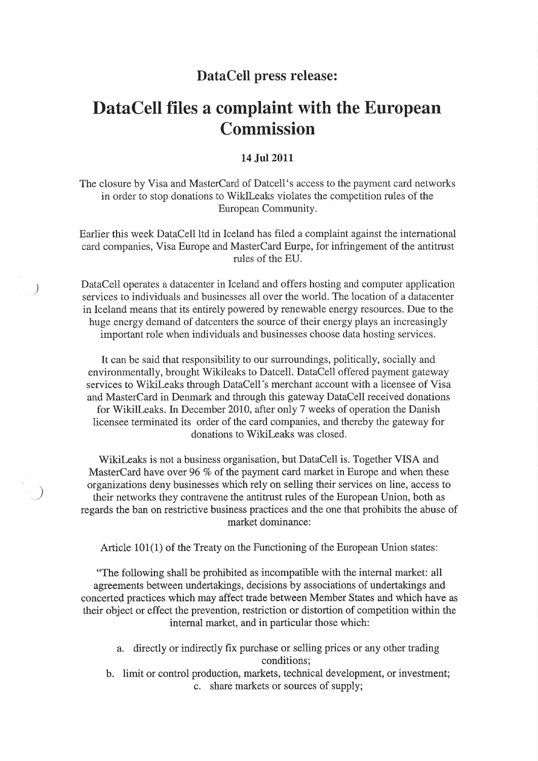## DataCell press release:

# DataCell files a complaint with the European Commission

#### 14 Jul 2011

The closure by Visa and MasterCard of Datcell's access to the payment card networks in order to stop donations to WiklLeaks violates the competition rules of the European Community.

Earlier this week DataCell ltd in Iceland has filed a complaint against the international card companies, Visa Europe and MasterCard Eurpe, for infringement of the antitrust rules of the EU.

DataCell operates a datacenter in Iceland and offers hosting and computer application services to individuals and businesses ali over the world. The location of a datacenter in Iceland means that its entirely powered by renewable energy resources. Due to the huge energy demand of datcenters the source of their energy plays an increasingly important role when individuals and businesses choose data hosting services.

It can be said that responsibility to our surroundings, politically, socially and environmentally, brought Wikileaks to Datcell. DataCell offered payment gateway services to Wikileaks through DataCell's merchant account with a licensee of Visa and MasterCard in Denmark and through this gateway DataCell received donations for Wikilleaks. In December 2010, after only 7 weeks of operation the Danish licensee terminated its order of the card companies, and thereby the gateway for donations to Wikileaks was closed.

Wikilæaks is not a business organisation, but DataCell is. Together VISA and MasterCard have over 96 % of the payment card market in Europe and when these organizations deny businesses which rely on selling their services on line, access to their networks they contravene the antitrust rules of the European Union, both as regards the ban on restrictive business practices and the one that prohibits the abuse of market dominance:

 $\mathcal{E}$ 

 $\mathcal{Y}$ 

Article 101(1) of the Treaty on the Functioning of the European Union states:

"The following shall be prohibited as incompatible with the internal market: all agreements between undertakings, decisions by associations of undertakings and concerted practices which may affect trade between Member States and which have as their object or effect the prevention, restriction or distortion of competition within the internal market, and in particular those which:

- a. directly or indirectly fix purchase or selling prices or any other trading conditions;
- b. limit or control production, markets, technical development, or investment; c. share markets or sources of supply;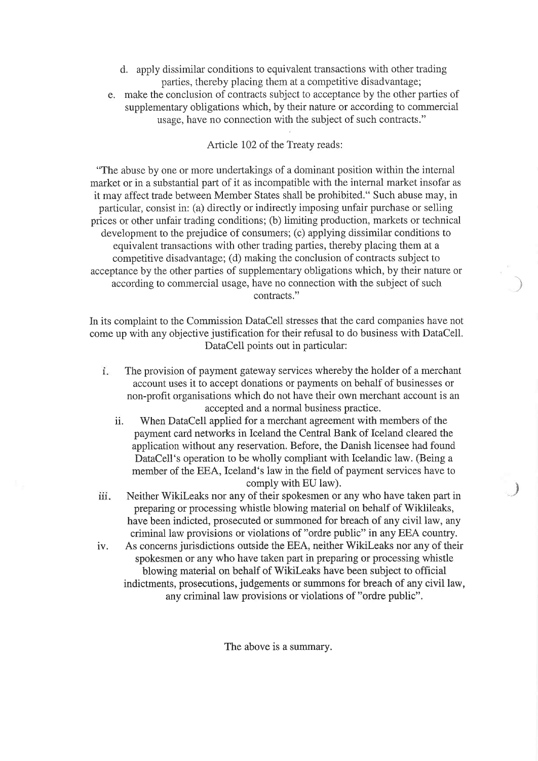- d. apply dissimilar conditions to equivalent transactions with other trading parties, thereby placing them at a competitive disadvantage;
- e. make the conclusion of contracts subject to acceptance by the other parties of supplementary obligations which, by their nature or according to commercial usage, have no connection with the subject of such contracts."

### Article 102 of the Treaty reads:

"The abuse by one or more undertakings of a dominant position within the internal market or in a substantial part of it as incompatible with the internal market insofar as it may affect trade between Member States shali be prohibited." Such abuse may, in particular, consist in: (a) directiy or indirectly imposing unfair purchase or selling prices or other unfair trading conditions; (b) limiting production, markets or technical development to the prejudice of consumers; (c) applying dissimilar conditions to equivalent transactions with other trading parties, thereby placing them at a competitive disadvantage; (d) making the conclusion of contracts subject to acceptance by the other parties of supplementary obligations which, by their nature or according to commercial usage, have no connection with the subject of such contracts."

In its complaint to the Commission DataCell stresses that the card companies have not come up with any objective justification for their refusal to do business with DataCell. DataCell points out in particular:

)

t

- 1. The provision of payment gateway services whereby the holder of a merchant account uses it to accept donations or payments on behalf of businesses or non-profit organisations which do not have their own merchant account is an accepted and a normal business practice.
	- ii. 'When DataCell applied for a merchant agreement with members of the payment card networks in Iceland the Central Bank of Iceland cleared the application without any reservation. Before, the Danish licensee had found DataCell's operation to be wholly compliant with Icelandic law. (Being a member of the EEA, Iceland's law in the field of payment services have to comply with EU law).
- Neither Wikileaks nor any of their spokesmen or any who have taken part in preparing or processing whistle blowing material on behalf of Wiklileaks, have been indicted, prosecuted or summoned for breach of any civil law, any criminal law provisions or violations of "ordre public" in any EEA country. iii.
- As concerns jurisdictions outside the EEA, neither WikiLeaks nor any of their spokesmen or any who have taken part in preparing or processing whistle blowing material on behalf of Wikileaks have been subject to official indictments, prosecutions, judgements or summons for breach of any civil law, any criminal law provisions or violations of "ordre public". iv.

The above is a summarv.